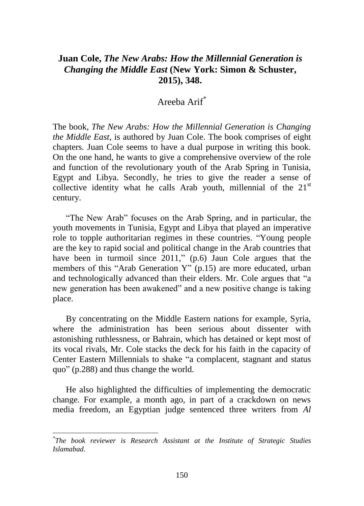## **Juan Cole,** *The New Arabs: How the Millennial Generation is Changing the Middle East* **(New York: Simon & Schuster, 2015), 348.**

## Areeba Arif\*

The book, *The New Arabs: How the Millennial Generation is Changing the Middle East*, is authored by Juan Cole. The book comprises of eight chapters. Juan Cole seems to have a dual purpose in writing this book. On the one hand, he wants to give a comprehensive overview of the role and function of the revolutionary youth of the Arab Spring in Tunisia, Egypt and Libya. Secondly, he tries to give the reader a sense of collective identity what he calls Arab youth, millennial of the  $21<sup>st</sup>$ century.

"The New Arab" focuses on the Arab Spring, and in particular, the youth movements in Tunisia, Egypt and Libya that played an imperative role to topple authoritarian regimes in these countries. "Young people are the key to rapid social and political change in the Arab countries that have been in turmoil since 2011," (p.6) Jaun Cole argues that the members of this "Arab Generation Y" (p.15) are more educated, urban and technologically advanced than their elders. Mr. Cole argues that "a new generation has been awakened" and a new positive change is taking place.

By concentrating on the Middle Eastern nations for example, Syria, where the administration has been serious about dissenter with astonishing ruthlessness, or Bahrain, which has detained or kept most of its vocal rivals, Mr. Cole stacks the deck for his faith in the capacity of Center Eastern Millennials to shake "a complacent, stagnant and status quo" (p.288) and thus change the world.

He also highlighted the difficulties of implementing the democratic change. For example, a month ago, in part of a crackdown on news media freedom, an Egyptian judge sentenced three writers from *Al*

 $\overline{a}$ 

*<sup>\*</sup> The book reviewer is Research Assistant at the Institute of Strategic Studies Islamabad.*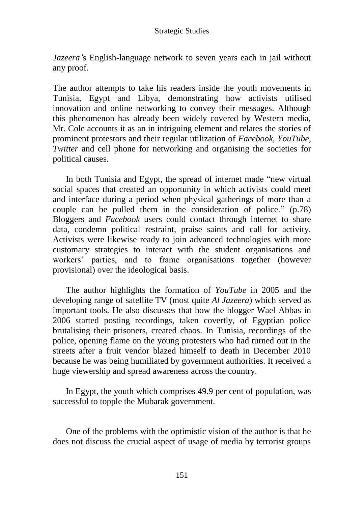*Jazeera'*s English-language network to seven years each in jail without any proof.

The author attempts to take his readers inside the youth movements in Tunisia, Egypt and Libya, demonstrating how activists utilised innovation and online networking to convey their messages. Although this phenomenon has already been widely covered by Western media, Mr. Cole accounts it as an in intriguing element and relates the stories of prominent protestors and their regular utilization of *Facebook*, *YouTube*, *Twitter* and cell phone for networking and organising the societies for political causes.

In both Tunisia and Egypt, the spread of internet made "new virtual social spaces that created an opportunity in which activists could meet and interface during a period when physical gatherings of more than a couple can be pulled them in the consideration of police." (p.78) Bloggers and *Facebook* users could contact through internet to share data, condemn political restraint, praise saints and call for activity. Activists were likewise ready to join advanced technologies with more customary strategies to interact with the student organisations and workers' parties, and to frame organisations together (however provisional) over the ideological basis.

The author highlights the formation of *YouTube* in 2005 and the developing range of satellite TV (most quite *Al Jazeera*) which served as important tools. He also discusses that how the blogger Wael Abbas in 2006 started posting recordings, taken covertly, of Egyptian police brutalising their prisoners, created chaos. In Tunisia, recordings of the police, opening flame on the young protesters who had turned out in the streets after a fruit vendor blazed himself to death in December 2010 because he was being humiliated by government authorities. It received a huge viewership and spread awareness across the country.

In Egypt, the youth which comprises 49.9 per cent of population, was successful to topple the Mubarak government.

One of the problems with the optimistic vision of the author is that he does not discuss the crucial aspect of usage of media by terrorist groups